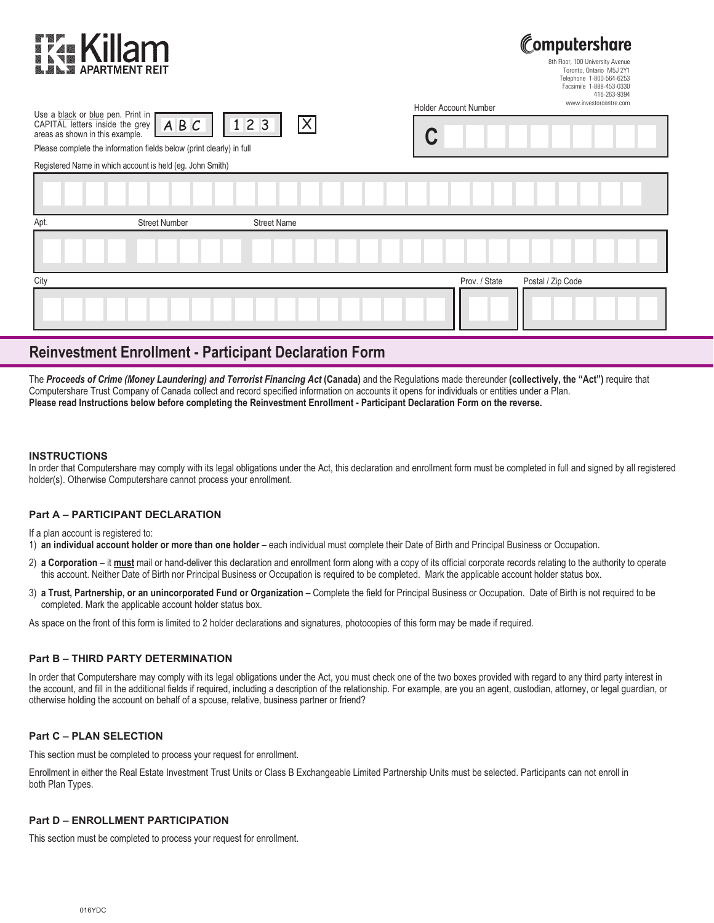| <b>EZA Killam</b><br><b>MEAL SE APARTMENT REIT</b>                   |                      |                       | Computershare<br>8th Floor, 100 University Avenue<br>Toronto, Ontario M5J 2Y1<br>Telephone 1-800-564-6253<br>Facsimile 1-888-453-0330<br>416-263-9394 |                              |                        |  |  |
|----------------------------------------------------------------------|----------------------|-----------------------|-------------------------------------------------------------------------------------------------------------------------------------------------------|------------------------------|------------------------|--|--|
| Use a black or blue pen. Print in                                    |                      |                       |                                                                                                                                                       | <b>Holder Account Number</b> | www.investorcentre.com |  |  |
| CAPITAL letters inside the grey<br>areas as shown in this example.   | ABC                  | $ \mathsf{X} $<br>123 | U                                                                                                                                                     |                              |                        |  |  |
| Please complete the information fields below (print clearly) in full |                      |                       |                                                                                                                                                       |                              |                        |  |  |
| Registered Name in which account is held (eg. John Smith)            |                      |                       |                                                                                                                                                       |                              |                        |  |  |
|                                                                      |                      |                       |                                                                                                                                                       |                              |                        |  |  |
| Apt.                                                                 | <b>Street Number</b> | <b>Street Name</b>    |                                                                                                                                                       |                              |                        |  |  |
|                                                                      |                      |                       |                                                                                                                                                       |                              |                        |  |  |
| City                                                                 |                      |                       |                                                                                                                                                       | Prov. / State                | Postal / Zip Code      |  |  |
|                                                                      |                      |                       |                                                                                                                                                       |                              |                        |  |  |

# **Reinvestment Enrollment - Participant Declaration Form**

The *Proceeds of Crime (Money Laundering) and Terrorist Financing Act* **(Canada)** and the Regulations made thereunder **(collectively, the "Act")** require that Computershare Trust Company of Canada collect and record specified information on accounts it opens for individuals or entities under a Plan. **Please read Instructions below before completing the Reinvestment Enrollment - Participant Declaration Form on the reverse.**

#### **INSTRUCTIONS**

In order that Computershare may comply with its legal obligations under the Act, this declaration and enrollment form must be completed in full and signed by all registered holder(s). Otherwise Computershare cannot process your enrollment.

## **Part A – PARTICIPANT DECLARATION**

If a plan account is registered to:

1) **an individual account holder or more than one holder** – each individual must complete their Date of Birth and Principal Business or Occupation.

- 2) a Corporation it must mail or hand-deliver this declaration and enrollment form along with a copy of its official corporate records relating to the authority to operate this account. Neither Date of Birth nor Principal Business or Occupation is required to be completed. Mark the applicable account holder status box.
- 3) a Trust, Partnership, or an unincorporated Fund or Organization Complete the field for Principal Business or Occupation. Date of Birth is not required to be completed. Mark the applicable account holder status box.

As space on the front of this form is limited to 2 holder declarations and signatures, photocopies of this form may be made if required.

## **Part B – THIRD PARTY DETERMINATION**

In order that Computershare may comply with its legal obligations under the Act, you must check one of the two boxes provided with regard to any third party interest in the account, and fill in the additional fields if required, including a description of the relationship. For example, are you an agent, custodian, attorney, or legal guardian, or otherwise holding the account on behalf of a spouse, relative, business partner or friend?

## **Part C – PLAN SELECTION**

This section must be completed to process your request for enrollment.

Enrollment in either the Real Estate Investment Trust Units or Class B Exchangeable Limited Partnership Units must be selected. Participants can not enroll in both Plan Types.

# **Part D – ENROLLMENT PARTICIPATION**

This section must be completed to process your request for enrollment.